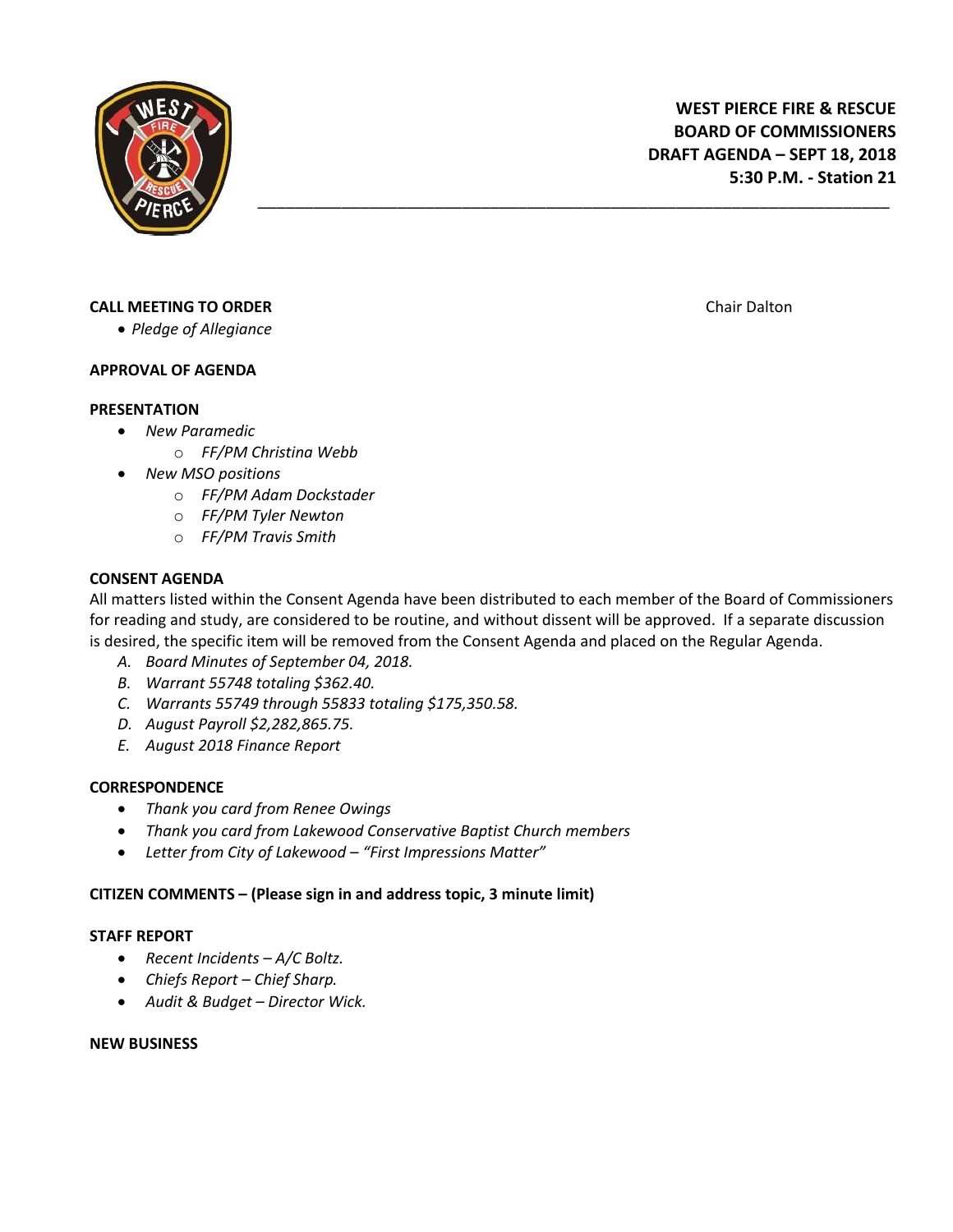

# **CALL MEETING TO ORDER CALL MEETING TO ORDER**

*Pledge of Allegiance*

## **APPROVAL OF AGENDA**

## **PRESENTATION**

- *New Paramedic*
	- o *FF/PM Christina Webb*
- *New MSO positions*
	- o *FF/PM Adam Dockstader*
	- o *FF/PM Tyler Newton*
	- o *FF/PM Travis Smith*

## **CONSENT AGENDA**

All matters listed within the Consent Agenda have been distributed to each member of the Board of Commissioners for reading and study, are considered to be routine, and without dissent will be approved. If a separate discussion is desired, the specific item will be removed from the Consent Agenda and placed on the Regular Agenda.

\_\_\_\_\_\_\_\_\_\_\_\_\_\_\_\_\_\_\_\_\_\_\_\_\_\_\_\_\_\_\_\_\_\_\_\_\_\_\_\_\_\_\_\_\_\_\_\_\_\_\_\_\_\_\_\_\_\_\_\_\_\_\_\_\_\_\_\_

- *A. Board Minutes of September 04, 2018.*
- *B. Warrant 55748 totaling \$362.40.*
- *C. Warrants 55749 through 55833 totaling \$175,350.58.*
- *D. August Payroll \$2,282,865.75.*
- *E. August 2018 Finance Report*

## **CORRESPONDENCE**

- *Thank you card from Renee Owings*
- *Thank you card from Lakewood Conservative Baptist Church members*
- *Letter from City of Lakewood – "First Impressions Matter"*

## **CITIZEN COMMENTS – (Please sign in and address topic, 3 minute limit)**

## **STAFF REPORT**

- *Recent Incidents – A/C Boltz.*
- *Chiefs Report – Chief Sharp.*
- *Audit & Budget – Director Wick.*

## **NEW BUSINESS**